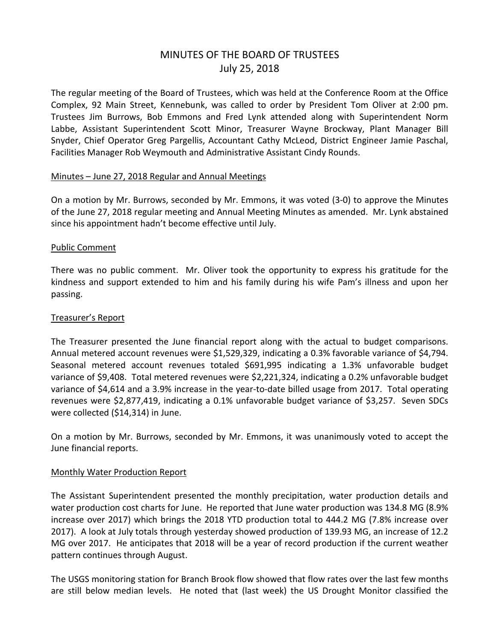# MINUTES OF THE BOARD OF TRUSTEES July 25, 2018

The regular meeting of the Board of Trustees, which was held at the Conference Room at the Office Complex, 92 Main Street, Kennebunk, was called to order by President Tom Oliver at 2:00 pm. Trustees Jim Burrows, Bob Emmons and Fred Lynk attended along with Superintendent Norm Labbe, Assistant Superintendent Scott Minor, Treasurer Wayne Brockway, Plant Manager Bill Snyder, Chief Operator Greg Pargellis, Accountant Cathy McLeod, District Engineer Jamie Paschal, Facilities Manager Rob Weymouth and Administrative Assistant Cindy Rounds.

## Minutes – June 27, 2018 Regular and Annual Meetings

On a motion by Mr. Burrows, seconded by Mr. Emmons, it was voted (3-0) to approve the Minutes of the June 27, 2018 regular meeting and Annual Meeting Minutes as amended. Mr. Lynk abstained since his appointment hadn't become effective until July.

## Public Comment

There was no public comment. Mr. Oliver took the opportunity to express his gratitude for the kindness and support extended to him and his family during his wife Pam's illness and upon her passing.

#### Treasurer's Report

The Treasurer presented the June financial report along with the actual to budget comparisons. Annual metered account revenues were \$1,529,329, indicating a 0.3% favorable variance of \$4,794. Seasonal metered account revenues totaled \$691,995 indicating a 1.3% unfavorable budget variance of \$9,408. Total metered revenues were \$2,221,324, indicating a 0.2% unfavorable budget variance of \$4,614 and a 3.9% increase in the year-to-date billed usage from 2017. Total operating revenues were \$2,877,419, indicating a 0.1% unfavorable budget variance of \$3,257. Seven SDCs were collected (\$14,314) in June.

On a motion by Mr. Burrows, seconded by Mr. Emmons, it was unanimously voted to accept the June financial reports.

#### Monthly Water Production Report

The Assistant Superintendent presented the monthly precipitation, water production details and water production cost charts for June. He reported that June water production was 134.8 MG (8.9% increase over 2017) which brings the 2018 YTD production total to 444.2 MG (7.8% increase over 2017). A look at July totals through yesterday showed production of 139.93 MG, an increase of 12.2 MG over 2017. He anticipates that 2018 will be a year of record production if the current weather pattern continues through August.

The USGS monitoring station for Branch Brook flow showed that flow rates over the last few months are still below median levels. He noted that (last week) the US Drought Monitor classified the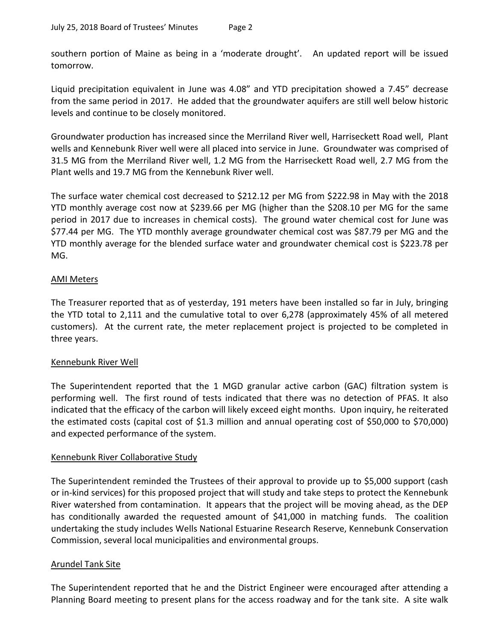southern portion of Maine as being in a 'moderate drought'. An updated report will be issued tomorrow.

Liquid precipitation equivalent in June was 4.08" and YTD precipitation showed a 7.45" decrease from the same period in 2017. He added that the groundwater aquifers are still well below historic levels and continue to be closely monitored.

Groundwater production has increased since the Merriland River well, Harriseckett Road well, Plant wells and Kennebunk River well were all placed into service in June. Groundwater was comprised of 31.5 MG from the Merriland River well, 1.2 MG from the Harriseckett Road well, 2.7 MG from the Plant wells and 19.7 MG from the Kennebunk River well.

The surface water chemical cost decreased to \$212.12 per MG from \$222.98 in May with the 2018 YTD monthly average cost now at \$239.66 per MG (higher than the \$208.10 per MG for the same period in 2017 due to increases in chemical costs). The ground water chemical cost for June was \$77.44 per MG. The YTD monthly average groundwater chemical cost was \$87.79 per MG and the YTD monthly average for the blended surface water and groundwater chemical cost is \$223.78 per MG.

# AMI Meters

The Treasurer reported that as of yesterday, 191 meters have been installed so far in July, bringing the YTD total to 2,111 and the cumulative total to over 6,278 (approximately 45% of all metered customers). At the current rate, the meter replacement project is projected to be completed in three years.

# Kennebunk River Well

The Superintendent reported that the 1 MGD granular active carbon (GAC) filtration system is performing well. The first round of tests indicated that there was no detection of PFAS. It also indicated that the efficacy of the carbon will likely exceed eight months. Upon inquiry, he reiterated the estimated costs (capital cost of \$1.3 million and annual operating cost of \$50,000 to \$70,000) and expected performance of the system.

# Kennebunk River Collaborative Study

The Superintendent reminded the Trustees of their approval to provide up to \$5,000 support (cash or in-kind services) for this proposed project that will study and take steps to protect the Kennebunk River watershed from contamination. It appears that the project will be moving ahead, as the DEP has conditionally awarded the requested amount of \$41,000 in matching funds. The coalition undertaking the study includes Wells National Estuarine Research Reserve, Kennebunk Conservation Commission, several local municipalities and environmental groups.

# Arundel Tank Site

The Superintendent reported that he and the District Engineer were encouraged after attending a Planning Board meeting to present plans for the access roadway and for the tank site. A site walk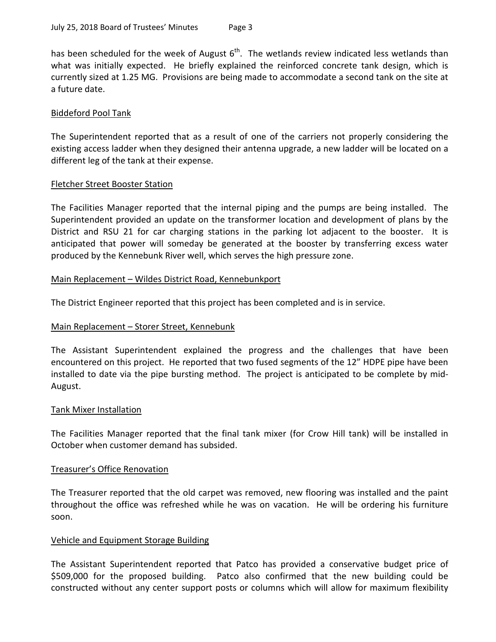has been scheduled for the week of August  $6<sup>th</sup>$ . The wetlands review indicated less wetlands than what was initially expected. He briefly explained the reinforced concrete tank design, which is currently sized at 1.25 MG. Provisions are being made to accommodate a second tank on the site at a future date.

## Biddeford Pool Tank

The Superintendent reported that as a result of one of the carriers not properly considering the existing access ladder when they designed their antenna upgrade, a new ladder will be located on a different leg of the tank at their expense.

## Fletcher Street Booster Station

The Facilities Manager reported that the internal piping and the pumps are being installed. The Superintendent provided an update on the transformer location and development of plans by the District and RSU 21 for car charging stations in the parking lot adjacent to the booster. It is anticipated that power will someday be generated at the booster by transferring excess water produced by the Kennebunk River well, which serves the high pressure zone.

## Main Replacement – Wildes District Road, Kennebunkport

The District Engineer reported that this project has been completed and is in service.

# Main Replacement – Storer Street, Kennebunk

The Assistant Superintendent explained the progress and the challenges that have been encountered on this project. He reported that two fused segments of the 12" HDPE pipe have been installed to date via the pipe bursting method. The project is anticipated to be complete by mid-August.

#### Tank Mixer Installation

The Facilities Manager reported that the final tank mixer (for Crow Hill tank) will be installed in October when customer demand has subsided.

#### Treasurer's Office Renovation

The Treasurer reported that the old carpet was removed, new flooring was installed and the paint throughout the office was refreshed while he was on vacation. He will be ordering his furniture soon.

#### Vehicle and Equipment Storage Building

The Assistant Superintendent reported that Patco has provided a conservative budget price of \$509,000 for the proposed building. Patco also confirmed that the new building could be constructed without any center support posts or columns which will allow for maximum flexibility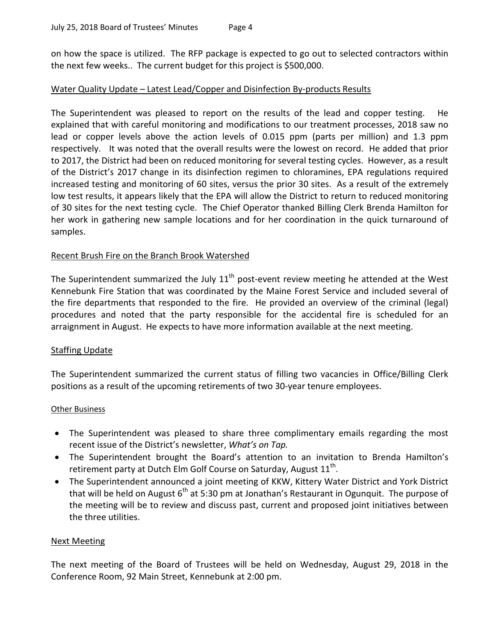on how the space is utilized. The RFP package is expected to go out to selected contractors within the next few weeks.. The current budget for this project is \$500,000.

# Water Quality Update – Latest Lead/Copper and Disinfection By-products Results

The Superintendent was pleased to report on the results of the lead and copper testing. He explained that with careful monitoring and modifications to our treatment processes, 2018 saw no lead or copper levels above the action levels of 0.015 ppm (parts per million) and 1.3 ppm respectively. It was noted that the overall results were the lowest on record. He added that prior to 2017, the District had been on reduced monitoring for several testing cycles. However, as a result of the District's 2017 change in its disinfection regimen to chloramines, EPA regulations required increased testing and monitoring of 60 sites, versus the prior 30 sites. As a result of the extremely low test results, it appears likely that the EPA will allow the District to return to reduced monitoring of 30 sites for the next testing cycle. The Chief Operator thanked Billing Clerk Brenda Hamilton for her work in gathering new sample locations and for her coordination in the quick turnaround of samples.

## Recent Brush Fire on the Branch Brook Watershed

The Superintendent summarized the July  $11<sup>th</sup>$  post-event review meeting he attended at the West Kennebunk Fire Station that was coordinated by the Maine Forest Service and included several of the fire departments that responded to the fire. He provided an overview of the criminal (legal) procedures and noted that the party responsible for the accidental fire is scheduled for an arraignment in August. He expects to have more information available at the next meeting.

# Staffing Update

The Superintendent summarized the current status of filling two vacancies in Office/Billing Clerk positions as a result of the upcoming retirements of two 30-year tenure employees.

#### Other Business

- The Superintendent was pleased to share three complimentary emails regarding the most recent issue of the District's newsletter, *What's on Tap.*
- The Superintendent brought the Board's attention to an invitation to Brenda Hamilton's retirement party at Dutch Elm Golf Course on Saturday, August  $11^{\text{th}}$ .
- The Superintendent announced a joint meeting of KKW, Kittery Water District and York District that will be held on August  $6<sup>th</sup>$  at 5:30 pm at Jonathan's Restaurant in Ogunquit. The purpose of the meeting will be to review and discuss past, current and proposed joint initiatives between the three utilities.

#### Next Meeting

The next meeting of the Board of Trustees will be held on Wednesday, August 29, 2018 in the Conference Room, 92 Main Street, Kennebunk at 2:00 pm.